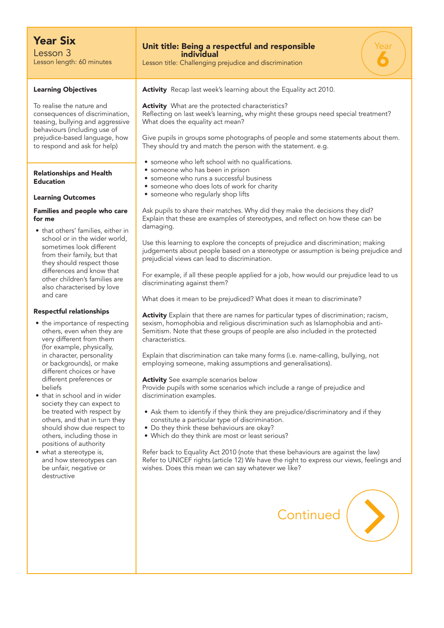# Year Six

Lesson 3 Lesson length: 60 minutes

#### Learning Objectives

To realise the nature and consequences of discrimination, teasing, bullying and aggressive behaviours (including use of prejudice-based language, how to respond and ask for help)

#### Relationships and Health Education

#### Learning Outcomes

### Families and people who care for me

• that others' families, either in school or in the wider world, sometimes look different from their family, but that they should respect those differences and know that other children's families are also characterised by love and care

#### Respectful relationships

- the importance of respecting others, even when they are very different from them (for example, physically, in character, personality or backgrounds), or make different choices or have different preferences or beliefs
- that in school and in wider society they can expect to be treated with respect by others, and that in turn they should show due respect to others, including those in positions of authority
- what a stereotype is, and how stereotypes can be unfair, negative or destructive

### Unit title: Being a respectful and responsible individual

Lesson title: Challenging prejudice and discrimination

Activity Recap last week's learning about the Equality act 2010.

Activity What are the protected characteristics? Reflecting on last week's learning, why might these groups need special treatment? What does the equality act mean?

Give pupils in groups some photographs of people and some statements about them. They should try and match the person with the statement. e.g.

Year

6

- someone who left school with no qualifications.
- someone who has been in prison
- someone who runs a successful business
- someone who does lots of work for charity
- someone who regularly shop lifts

Ask pupils to share their matches. Why did they make the decisions they did? Explain that these are examples of stereotypes, and reflect on how these can be damaging.

Use this learning to explore the concepts of prejudice and discrimination; making judgements about people based on a stereotype or assumption is being prejudice and prejudicial views can lead to discrimination.

For example, if all these people applied for a job, how would our prejudice lead to us discriminating against them?

What does it mean to be prejudiced? What does it mean to discriminate?

Activity Explain that there are names for particular types of discrimination; racism, sexism, homophobia and religious discrimination such as Islamophobia and anti-Semitism. Note that these groups of people are also included in the protected characteristics.

Explain that discrimination can take many forms (i.e. name-calling, bullying, not employing someone, making assumptions and generalisations).

Activity See example scenarios below

Provide pupils with some scenarios which include a range of prejudice and discrimination examples.

- Ask them to identify if they think they are prejudice/discriminatory and if they constitute a particular type of discrimination.
- Do they think these behaviours are okay?
- Which do they think are most or least serious?

Refer back to Equality Act 2010 (note that these behaviours are against the law) Refer to UNICEF rights (article 12) We have the right to express our views, feelings and wishes. Does this mean we can say whatever we like?

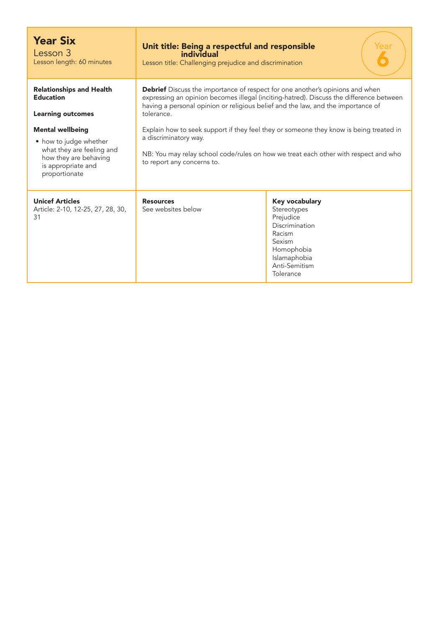| <b>Year Six</b><br>Lesson 3<br>Lesson length: 60 minutes                                                                                                                                                                          | Unit title: Being a respectful and responsible<br>'ear<br>individual<br>Lesson title: Challenging prejudice and discrimination                                                                                                                                                                                                                                                                                                                                                                                            |                                                                                                                                              |
|-----------------------------------------------------------------------------------------------------------------------------------------------------------------------------------------------------------------------------------|---------------------------------------------------------------------------------------------------------------------------------------------------------------------------------------------------------------------------------------------------------------------------------------------------------------------------------------------------------------------------------------------------------------------------------------------------------------------------------------------------------------------------|----------------------------------------------------------------------------------------------------------------------------------------------|
| <b>Relationships and Health</b><br><b>Education</b><br><b>Learning outcomes</b><br><b>Mental wellbeing</b><br>• how to judge whether<br>what they are feeling and<br>how they are behaving<br>is appropriate and<br>proportionate | <b>Debrief</b> Discuss the importance of respect for one another's opinions and when<br>expressing an opinion becomes illegal (inciting-hatred). Discuss the difference between<br>having a personal opinion or religious belief and the law, and the importance of<br>tolerance.<br>Explain how to seek support if they feel they or someone they know is being treated in<br>a discriminatory way.<br>NB: You may relay school code/rules on how we treat each other with respect and who<br>to report any concerns to. |                                                                                                                                              |
| <b>Unicef Articles</b><br>Article: 2-10, 12-25, 27, 28, 30,<br>31                                                                                                                                                                 | <b>Resources</b><br>See websites below                                                                                                                                                                                                                                                                                                                                                                                                                                                                                    | Key vocabulary<br>Stereotypes<br>Prejudice<br>Discrimination<br>Racism<br>Sexism<br>Homophobia<br>Islamaphobia<br>Anti-Semitism<br>Tolerance |